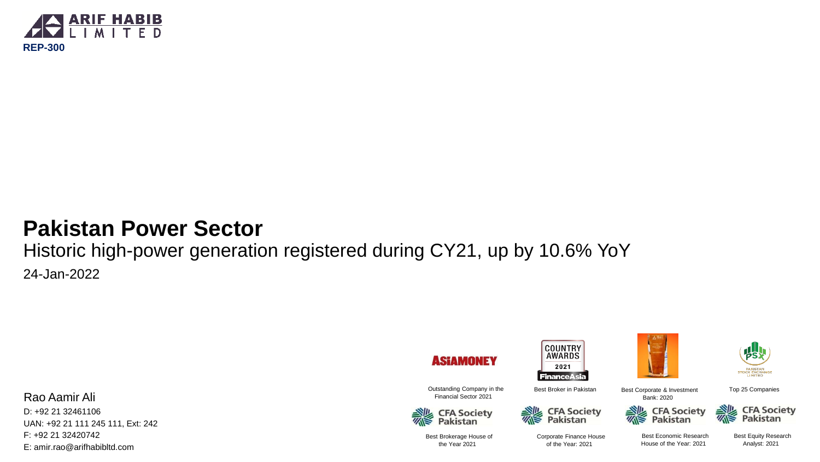

### **Pakistan Power Sector**

Historic high-power generation registered during CY21, up by 10.6% YoY 24-Jan-2022

Rao Aamir Ali D: +92 21 32461106 UAN: +92 21 111 245 111, Ext: 242 F: +92 21 32420742 E: amir.rao@arifhabibltd.com

**ASIAMONEY** 





**COUNTRY AWARDS** 2021 **FinanceAsia** Best Broker in Pakistan







Best Corporate & Investment Bank: 2020



**CFA Society<br>Pakistan** 

Top 25 Companies

Best Brokerage House of the Year 2021

Corporate Finance House of the Year: 2021

**CFA Society<br>Pakistan** 

Best Economic Research House of the Year: 2021

1 Analyst: 2021 Best Equity Research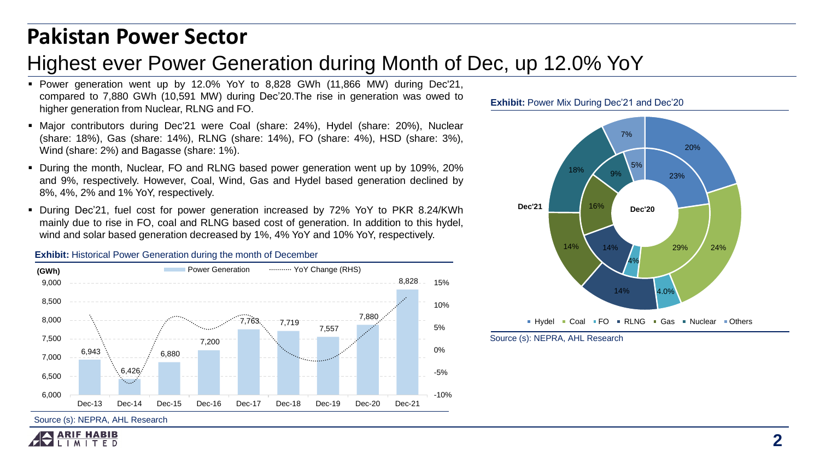### **Pakistan Power Sector**

### Highest ever Power Generation during Month of Dec, up 12.0% YoY

- Power generation went up by 12.0% YoY to 8,828 GWh (11,866 MW) during Dec'21, compared to 7,880 GWh (10,591 MW) during Dec'20.The rise in generation was owed to higher generation from Nuclear, RLNG and FO.
- Major contributors during Dec'21 were Coal (share: 24%), Hydel (share: 20%), Nuclear (share: 18%), Gas (share: 14%), RLNG (share: 14%), FO (share: 4%), HSD (share: 3%), Wind (share: 2%) and Bagasse (share: 1%).
- During the month, Nuclear, FO and RLNG based power generation went up by 109%, 20% and 9%, respectively. However, Coal, Wind, Gas and Hydel based generation declined by 8%, 4%, 2% and 1% YoY, respectively.
- During Dec'21, fuel cost for power generation increased by 72% YoY to PKR 8.24/KWh mainly due to rise in FO, coal and RLNG based cost of generation. In addition to this hydel, wind and solar based generation decreased by 1%, 4% YoY and 10% YoY, respectively.

### **Exhibit:** Historical Power Generation during the month of December



Source (s): NEPRA, AHL Research



### **Exhibit: Power Mix During Dec'21 and Dec'20**



Source (s): NEPRA, AHL Research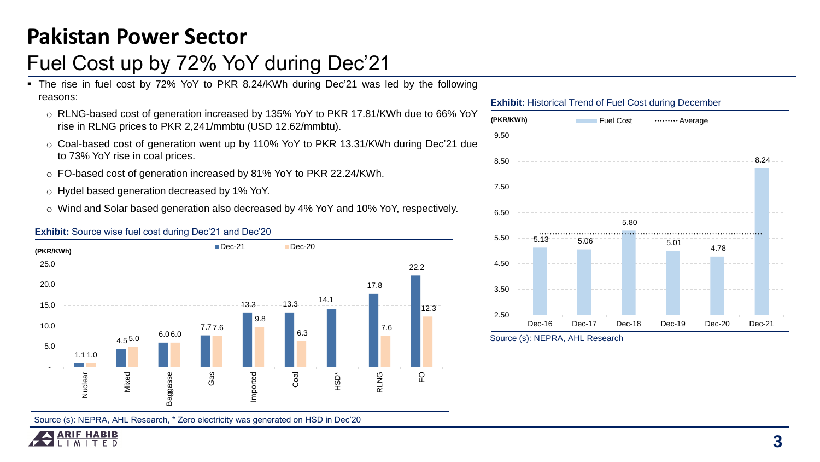## **Pakistan Power Sector**

## Fuel Cost up by 72% YoY during Dec'21

- The rise in fuel cost by 72% YoY to PKR 8.24/KWh during Dec'21 was led by the following reasons:
	- o RLNG-based cost of generation increased by 135% YoY to PKR 17.81/KWh due to 66% YoY rise in RLNG prices to PKR 2,241/mmbtu (USD 12.62/mmbtu).
	- o Coal-based cost of generation went up by 110% YoY to PKR 13.31/KWh during Dec'21 due to 73% YoY rise in coal prices.
	- o FO-based cost of generation increased by 81% YoY to PKR 22.24/KWh.
	- o Hydel based generation decreased by 1% YoY.
	- o Wind and Solar based generation also decreased by 4% YoY and 10% YoY, respectively.





Source (s): NEPRA, AHL Research, \* Zero electricity was generated on HSD in Dec'20





Source (s): NEPRA, AHL Research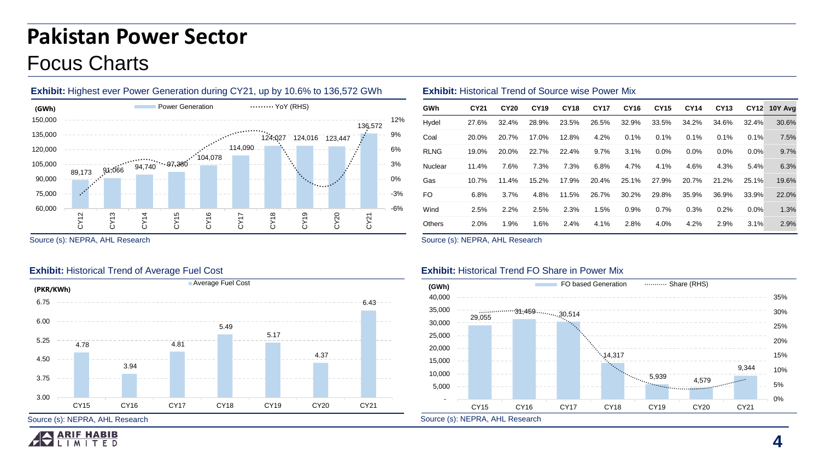# **Pakistan Power Sector** Focus Charts

![](_page_3_Figure_1.jpeg)

|        |        |        |        |                  |         |         |         |           |                  | <b>EXHIDIL.</b> Highest ever Fower Generation during $G1Z1$ , up by 10.0% to 150,572 GWIT. |                      |             | <b>EXHIBIL.</b> FISIONICAL LIBRIC OF SOULCE WISE FOWER IVILY |             |             |             |             |             |             |             |             |         |                     |
|--------|--------|--------|--------|------------------|---------|---------|---------|-----------|------------------|--------------------------------------------------------------------------------------------|----------------------|-------------|--------------------------------------------------------------|-------------|-------------|-------------|-------------|-------------|-------------|-------------|-------------|---------|---------------------|
| (GWh)  |        |        |        | Power Generation |         |         |         | YoY (RHS) |                  |                                                                                            |                      | GWh         | CY21                                                         | <b>CY20</b> | <b>CY19</b> | <b>CY18</b> | <b>CY17</b> | <b>CY16</b> | <b>CY15</b> | <b>CY14</b> | <b>CY13</b> |         | <b>CY12 10Y Avg</b> |
| 50,000 |        |        |        |                  |         |         |         |           |                  |                                                                                            | ----- 12%<br>136.572 | Hydel       | 27.6%                                                        | 32.4%       | 28.9%       | 23.5%       | 26.5%       | 32.9%       | 33.5%       | 34.2%       | 34.6%       | 32.4%   | 30.6%               |
| 35.000 |        |        |        |                  |         |         | 124.027 | 124,016   | 123.447          |                                                                                            | 9%                   | Coal        | 20.0%                                                        | 20.7%       | 17.0%       | 12.8%       | 4.2%        | $0.1\%$     | 0.1%        | 0.1%        | 0.1%        | 0.1%    | 7.5%                |
| 20.000 |        |        |        |                  | 104,078 | 114.090 |         |           |                  |                                                                                            | - 6%                 | <b>RLNG</b> | 19.0%                                                        | 20.0%       | 22.7%       | 22.4%       | $9.7\%$     | $3.1\%$     | $0.0\%$     | $0.0\%$     | $0.0\%$     | $0.0\%$ | 9.7%                |
| 05,000 | 89,173 | 91,066 | 94,740 |                  |         |         |         |           |                  |                                                                                            | 3%                   | Nuclear     | 11.4%                                                        | 7.6%        | 7.3%        | 7.3%        | 6.8%        | 4.7%        | 4.1%        | 4.6%        | 4.3%        | 5.4%    | 6.3%                |
| 90,000 |        |        |        |                  |         |         |         |           | i <mark>.</mark> |                                                                                            | 0%                   | Gas         | 10.7%                                                        | 11.4%       | 15.2%       | 17.9%       | 20.4%       | 25.1%       | 27.9%       | 20.7%       | 21.2%       | 25.1%   | 19.6%               |
| 75,000 |        |        |        |                  |         |         |         |           |                  |                                                                                            | $-3%$                | <b>FO</b>   | 6.8%                                                         | $3.7\%$     | 4.8%        | 11.5%       | 26.7%       | 30.2%       | 29.8%       | 35.9%       | 36.9%       | 33.9%   | 22.0%               |
| 60,000 |        |        |        |                  |         |         |         |           |                  |                                                                                            | $-6%$                | Wind        | 2.5%                                                         | 2.2%        | 2.5%        | 2.3%        | 1.5%        | $0.9\%$     | 0.7%        | 0.3%        | 0.2%        | 0.0%    | 1.3%                |
|        |        |        |        |                  |         |         |         |           |                  |                                                                                            |                      | Others      | 2.0%                                                         | 1.9%        | 1.6%        | 2.4%        | 4.1%        | 2.8%        | 4.0%        | 4.2%        | 2.9%        | 3.1%    | 2.9%                |
|        |        |        |        |                  |         |         |         |           |                  |                                                                                            |                      |             |                                                              |             |             |             |             |             |             |             |             |         |                     |

Source (s): NEPRA, AHL Research

### **Exhibit:** Historical Trend of Average Fuel Cost

![](_page_3_Figure_5.jpeg)

Source (s): NEPRA, AHL Research

### **Exhibit:** Historical Trend FO Share in Power Mix

**Exhibit:** Historical Trend of Source wise Power Mix

![](_page_3_Figure_8.jpeg)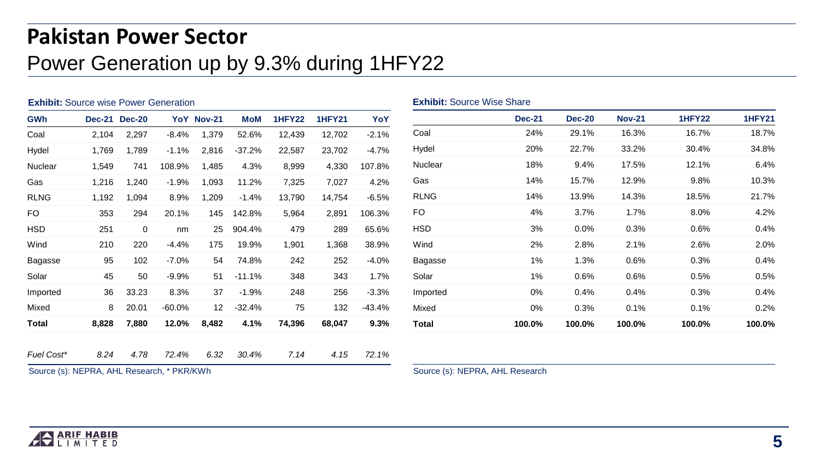# **Pakistan Power Sector** Power Generation up by 9.3% during 1HFY22

| <b>Exhibit:</b> Source wise Power Generation |       |                      |          |                 |            |               |               | <b>Exhibit: Source Wise Share</b> |              |               |               |               |               |               |  |
|----------------------------------------------|-------|----------------------|----------|-----------------|------------|---------------|---------------|-----------------------------------|--------------|---------------|---------------|---------------|---------------|---------------|--|
| <b>GWh</b>                                   |       | <b>Dec-21 Dec-20</b> |          | YoY Nov-21      | <b>MoM</b> | <b>1HFY22</b> | <b>1HFY21</b> | YoY                               |              | <b>Dec-21</b> | <b>Dec-20</b> | <b>Nov-21</b> | <b>1HFY22</b> | <b>1HFY21</b> |  |
| Coal                                         | 2,104 | 2,297                | $-8.4%$  | 1,379           | 52.6%      | 12,439        | 12,702        | $-2.1%$                           | Coal         | 24%           | 29.1%         | 16.3%         | 16.7%         | 18.7%         |  |
| Hydel                                        | 1,769 | 1,789                | $-1.1%$  | 2,816           | $-37.2%$   | 22,587        | 23,702        | $-4.7%$                           | Hydel        | 20%           | 22.7%         | 33.2%         | 30.4%         | 34.8%         |  |
| Nuclear                                      | 1,549 | 741                  | 108.9%   | 1,485           | 4.3%       | 8,999         | 4,330         | 107.8%                            | Nuclear      | 18%           | 9.4%          | 17.5%         | 12.1%         | 6.4%          |  |
| Gas                                          | 1,216 | 1,240                | $-1.9%$  | 1,093           | 11.2%      | 7,325         | 7,027         | 4.2%                              | Gas          | 14%           | 15.7%         | 12.9%         | 9.8%          | 10.3%         |  |
| <b>RLNG</b>                                  | 1,192 | 1,094                | 8.9%     | 1,209           | $-1.4%$    | 13,790        | 14,754        | $-6.5%$                           | <b>RLNG</b>  | 14%           | 13.9%         | 14.3%         | 18.5%         | 21.7%         |  |
| <b>FO</b>                                    | 353   | 294                  | 20.1%    | 145             | 142.8%     | 5,964         | 2,891         | 106.3%                            | <b>FO</b>    | 4%            | 3.7%          | 1.7%          | 8.0%          | 4.2%          |  |
| <b>HSD</b>                                   | 251   | $\mathbf 0$          | nm       | 25              | 904.4%     | 479           | 289           | 65.6%                             | <b>HSD</b>   | 3%            | 0.0%          | 0.3%          | 0.6%          | 0.4%          |  |
| Wind                                         | 210   | 220                  | $-4.4%$  | 175             | 19.9%      | 1,901         | 1,368         | 38.9%                             | Wind         | 2%            | 2.8%          | 2.1%          | 2.6%          | 2.0%          |  |
| Bagasse                                      | 95    | 102                  | $-7.0\%$ | 54              | 74.8%      | 242           | 252           | $-4.0%$                           | Bagasse      | $1\%$         | 1.3%          | 0.6%          | 0.3%          | 0.4%          |  |
| Solar                                        | 45    | 50                   | $-9.9%$  | 51              | $-11.1%$   | 348           | 343           | 1.7%                              | Solar        | 1%            | 0.6%          | 0.6%          | 0.5%          | 0.5%          |  |
| Imported                                     | 36    | 33.23                | 8.3%     | 37              | $-1.9%$    | 248           | 256           | $-3.3%$                           | Imported     | 0%            | 0.4%          | 0.4%          | 0.3%          | 0.4%          |  |
| Mixed                                        | 8     | 20.01                | $-60.0%$ | 12 <sup>2</sup> | $-32.4%$   | 75            | 132           | $-43.4%$                          | Mixed        | 0%            | 0.3%          | 0.1%          | 0.1%          | 0.2%          |  |
| <b>Total</b>                                 | 8,828 | 7,880                | 12.0%    | 8,482           | 4.1%       | 74,396        | 68,047        | 9.3%                              | <b>Total</b> | 100.0%        | 100.0%        | 100.0%        | 100.0%        | 100.0%        |  |
|                                              |       |                      |          |                 |            |               |               |                                   |              |               |               |               |               |               |  |
| Fuel Cost*                                   | 8.24  | 4.78                 | 72.4%    | 6.32            | 30.4%      | 7.14          | 4.15          | 72.1%                             |              |               |               |               |               |               |  |

Source (s): NEPRA, AHL Research, \* PKR/KWh

Source (s): NEPRA, AHL Research

![](_page_4_Picture_4.jpeg)